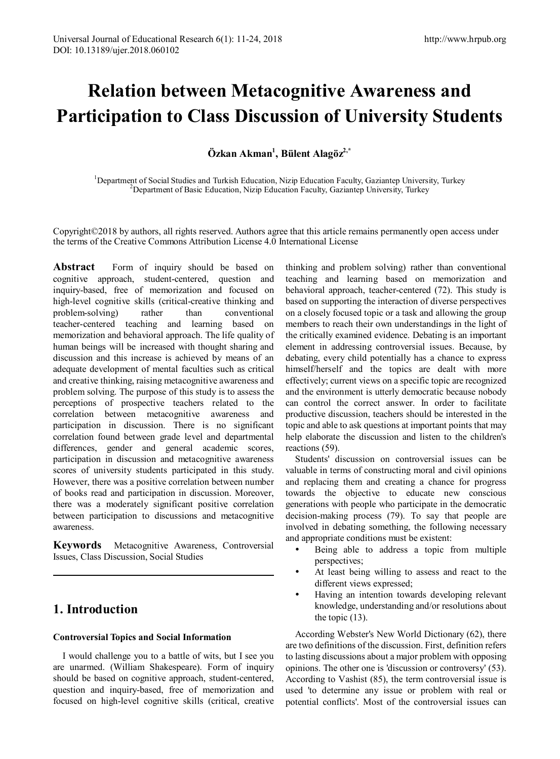# **Relation between Metacognitive Awareness and Participation to Class Discussion of University Students**

# $\ddot{\textbf{O}}$ zkan Akman<sup>1</sup>, Bülent Alagöz<sup>2,\*</sup>

<sup>1</sup>Department of Social Studies and Turkish Education, Nizip Education Faculty, Gaziantep University, Turkey <sup>2</sup>Department of Basic Education, Nizip Education Faculty, Gaziantep University, Turkey Department of Basic Education, Nizip Education Faculty, Gaziantep University, Turkey

Copyright©2018 by authors, all rights reserved. Authors agree that this article remains permanently open access under the terms of the Creative Commons Attribution License 4.0 International License

Abstract Form of inquiry should be based on cognitive approach, student-centered, question and inquiry-based, free of memorization and focused on high-level cognitive skills (critical-creative thinking and problem-solving) rather than conventional teacher-centered teaching and learning based on memorization and behavioral approach. The life quality of human beings will be increased with thought sharing and discussion and this increase is achieved by means of an adequate development of mental faculties such as critical and creative thinking, raising metacognitive awareness and problem solving. The purpose of this study is to assess the perceptions of prospective teachers related to the correlation between metacognitive awareness and participation in discussion. There is no significant correlation found between grade level and departmental differences, gender and general academic scores, participation in discussion and metacognitive awareness scores of university students participated in this study. However, there was a positive correlation between number of books read and participation in discussion. Moreover, there was a moderately significant positive correlation between participation to discussions and metacognitive awareness.

**Keywords** Metacognitive Awareness, Controversial Issues, Class Discussion, Social Studies

# **1. Introduction**

## **Controversial Topics and Social Information**

I would challenge you to a battle of wits, but I see you are unarmed. (William Shakespeare). Form of inquiry should be based on cognitive approach, student-centered, question and inquiry-based, free of memorization and focused on high-level cognitive skills (critical, creative thinking and problem solving) rather than conventional teaching and learning based on memorization and behavioral approach, teacher-centered (72). This study is based on supporting the interaction of diverse perspectives on a closely focused topic or a task and allowing the group members to reach their own understandings in the light of the critically examined evidence. Debating is an important element in addressing controversial issues. Because, by debating, every child potentially has a chance to express himself/herself and the topics are dealt with more effectively; current views on a specific topic are recognized and the environment is utterly democratic because nobody can control the correct answer. In order to facilitate productive discussion, teachers should be interested in the topic and able to ask questions at important points that may help elaborate the discussion and listen to the children's reactions (59).

Students' discussion on controversial issues can be valuable in terms of constructing moral and civil opinions and replacing them and creating a chance for progress towards the objective to educate new conscious generations with people who participate in the democratic decision-making process (79). To say that people are involved in debating something, the following necessary and appropriate conditions must be existent:

- Being able to address a topic from multiple perspectives;
- At least being willing to assess and react to the different views expressed;
- Having an intention towards developing relevant knowledge, understanding and/or resolutions about the topic (13).

According Webster's New World Dictionary (62), there are two definitions of the discussion. First, definition refers to lasting discussions about a major problem with opposing opinions. The other one is 'discussion or controversy' (53). According to Vashist (85), the term controversial issue is used 'to determine any issue or problem with real or potential conflicts'. Most of the controversial issues can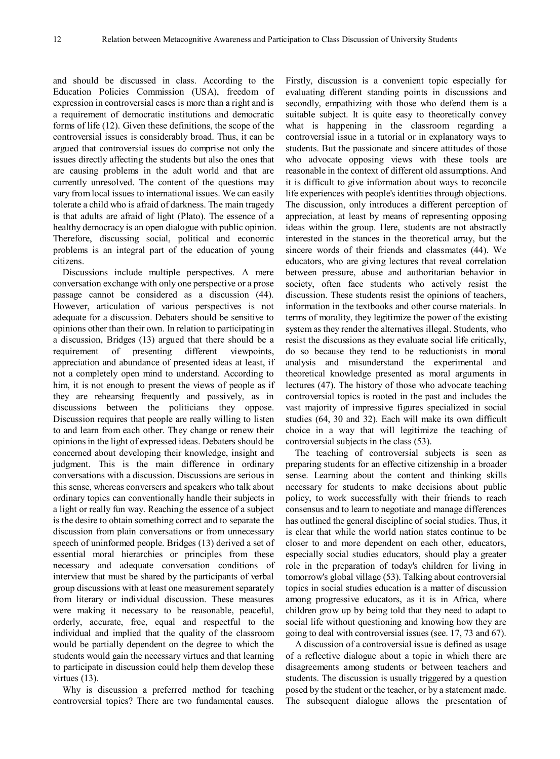and should be discussed in class. According to the Education Policies Commission (USA), freedom of expression in controversial cases is more than a right and is a requirement of democratic institutions and democratic forms of life (12). Given these definitions, the scope of the controversial issues is considerably broad. Thus, it can be argued that controversial issues do comprise not only the issues directly affecting the students but also the ones that are causing problems in the adult world and that are currently unresolved. The content of the questions may vary from local issues to international issues. We can easily tolerate a child who is afraid of darkness. The main tragedy is that adults are afraid of light (Plato). The essence of a healthy democracy is an open dialogue with public opinion. Therefore, discussing social, political and economic problems is an integral part of the education of young citizens.

Discussions include multiple perspectives. A mere conversation exchange with only one perspective or a prose passage cannot be considered as a discussion (44). However, articulation of various perspectives is not adequate for a discussion. Debaters should be sensitive to opinions other than their own. In relation to participating in a discussion, Bridges (13) argued that there should be a requirement of presenting different viewpoints, appreciation and abundance of presented ideas at least, if not a completely open mind to understand. According to him, it is not enough to present the views of people as if they are rehearsing frequently and passively, as in discussions between the politicians they oppose. Discussion requires that people are really willing to listen to and learn from each other. They change or renew their opinions in the light of expressed ideas. Debaters should be concerned about developing their knowledge, insight and judgment. This is the main difference in ordinary conversations with a discussion. Discussions are serious in this sense, whereas conversers and speakers who talk about ordinary topics can conventionally handle their subjects in a light or really fun way. Reaching the essence of a subject is the desire to obtain something correct and to separate the discussion from plain conversations or from unnecessary speech of uninformed people. Bridges (13) derived a set of essential moral hierarchies or principles from these necessary and adequate conversation conditions of interview that must be shared by the participants of verbal group discussions with at least one measurement separately from literary or individual discussion. These measures were making it necessary to be reasonable, peaceful, orderly, accurate, free, equal and respectful to the individual and implied that the quality of the classroom would be partially dependent on the degree to which the students would gain the necessary virtues and that learning to participate in discussion could help them develop these virtues (13).

Why is discussion a preferred method for teaching controversial topics? There are two fundamental causes.

Firstly, discussion is a convenient topic especially for evaluating different standing points in discussions and secondly, empathizing with those who defend them is a suitable subject. It is quite easy to theoretically convey what is happening in the classroom regarding a controversial issue in a tutorial or in explanatory ways to students. But the passionate and sincere attitudes of those who advocate opposing views with these tools are reasonable in the context of different old assumptions. And it is difficult to give information about ways to reconcile life experiences with people's identities through objections. The discussion, only introduces a different perception of appreciation, at least by means of representing opposing ideas within the group. Here, students are not abstractly interested in the stances in the theoretical array, but the sincere words of their friends and classmates (44). We educators, who are giving lectures that reveal correlation between pressure, abuse and authoritarian behavior in society, often face students who actively resist the discussion. These students resist the opinions of teachers, information in the textbooks and other course materials. In terms of morality, they legitimize the power of the existing system as they render the alternatives illegal. Students, who resist the discussions as they evaluate social life critically, do so because they tend to be reductionists in moral analysis and misunderstand the experimental and theoretical knowledge presented as moral arguments in lectures (47). The history of those who advocate teaching controversial topics is rooted in the past and includes the vast majority of impressive figures specialized in social studies (64, 30 and 32). Each will make its own difficult choice in a way that will legitimize the teaching of controversial subjects in the class (53).

The teaching of controversial subjects is seen as preparing students for an effective citizenship in a broader sense. Learning about the content and thinking skills necessary for students to make decisions about public policy, to work successfully with their friends to reach consensus and to learn to negotiate and manage differences has outlined the general discipline of social studies. Thus, it is clear that while the world nation states continue to be closer to and more dependent on each other, educators, especially social studies educators, should play a greater role in the preparation of today's children for living in tomorrow's global village (53). Talking about controversial topics in social studies education is a matter of discussion among progressive educators, as it is in Africa, where children grow up by being told that they need to adapt to social life without questioning and knowing how they are going to deal with controversial issues (see. 17, 73 and 67).

A discussion of a controversial issue is defined as usage of a reflective dialogue about a topic in which there are disagreements among students or between teachers and students. The discussion is usually triggered by a question posed by the student or the teacher, or by a statement made. The subsequent dialogue allows the presentation of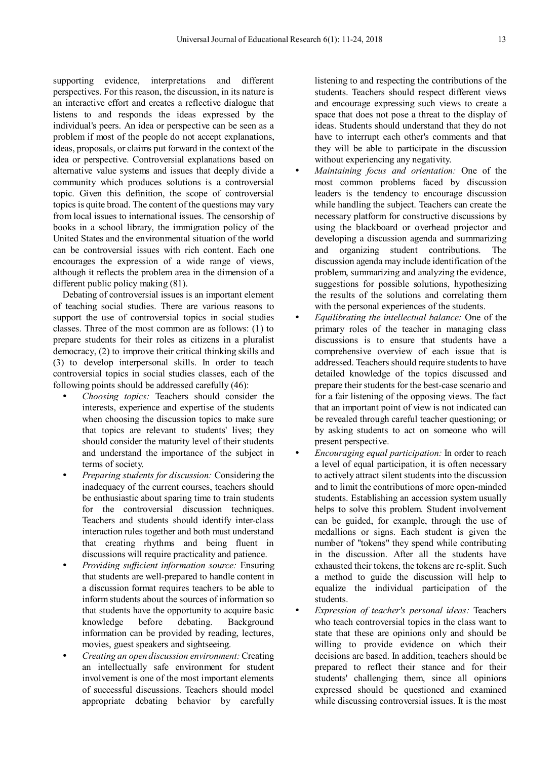supporting evidence, interpretations and different perspectives. For this reason, the discussion, in its nature is an interactive effort and creates a reflective dialogue that listens to and responds the ideas expressed by the individual's peers. An idea or perspective can be seen as a problem if most of the people do not accept explanations, ideas, proposals, or claims put forward in the context of the idea or perspective. Controversial explanations based on alternative value systems and issues that deeply divide a community which produces solutions is a controversial topic. Given this definition, the scope of controversial topics is quite broad. The content of the questions may vary from local issues to international issues. The censorship of books in a school library, the immigration policy of the United States and the environmental situation of the world can be controversial issues with rich content. Each one encourages the expression of a wide range of views, although it reflects the problem area in the dimension of a different public policy making (81).

Debating of controversial issues is an important element of teaching social studies. There are various reasons to support the use of controversial topics in social studies classes. Three of the most common are as follows: (1) to prepare students for their roles as citizens in a pluralist democracy, (2) to improve their critical thinking skills and (3) to develop interpersonal skills. In order to teach controversial topics in social studies classes, each of the following points should be addressed carefully (46):

- *Choosing topics:* Teachers should consider the interests, experience and expertise of the students when choosing the discussion topics to make sure that topics are relevant to students' lives; they should consider the maturity level of their students and understand the importance of the subject in terms of society.
- *Preparing students for discussion:* Considering the inadequacy of the current courses, teachers should be enthusiastic about sparing time to train students for the controversial discussion techniques. Teachers and students should identify inter-class interaction rules together and both must understand that creating rhythms and being fluent in discussions will require practicality and patience.
- *Providing sufficient information source:* Ensuring that students are well-prepared to handle content in a discussion format requires teachers to be able to inform students about the sources of information so that students have the opportunity to acquire basic knowledge before debating. Background information can be provided by reading, lectures, movies, guest speakers and sightseeing.
- *Creating an open discussion environment:* Creating an intellectually safe environment for student involvement is one of the most important elements of successful discussions. Teachers should model appropriate debating behavior by carefully

listening to and respecting the contributions of the students. Teachers should respect different views and encourage expressing such views to create a space that does not pose a threat to the display of ideas. Students should understand that they do not have to interrupt each other's comments and that they will be able to participate in the discussion without experiencing any negativity.

- *Maintaining focus and orientation:* One of the most common problems faced by discussion leaders is the tendency to encourage discussion while handling the subject. Teachers can create the necessary platform for constructive discussions by using the blackboard or overhead projector and developing a discussion agenda and summarizing and organizing student contributions. The discussion agenda may include identification of the problem, summarizing and analyzing the evidence, suggestions for possible solutions, hypothesizing the results of the solutions and correlating them with the personal experiences of the students.
- *Equilibrating the intellectual balance:* One of the primary roles of the teacher in managing class discussions is to ensure that students have a comprehensive overview of each issue that is addressed. Teachers should require students to have detailed knowledge of the topics discussed and prepare their students for the best-case scenario and for a fair listening of the opposing views. The fact that an important point of view is not indicated can be revealed through careful teacher questioning; or by asking students to act on someone who will present perspective.
- *Encouraging equal participation:* In order to reach a level of equal participation, it is often necessary to actively attract silent students into the discussion and to limit the contributions of more open-minded students. Establishing an accession system usually helps to solve this problem. Student involvement can be guided, for example, through the use of medallions or signs. Each student is given the number of "tokens" they spend while contributing in the discussion. After all the students have exhausted their tokens, the tokens are re-split. Such a method to guide the discussion will help to equalize the individual participation of the students.
- *Expression of teacher's personal ideas:* Teachers who teach controversial topics in the class want to state that these are opinions only and should be willing to provide evidence on which their decisions are based. In addition, teachers should be prepared to reflect their stance and for their students' challenging them, since all opinions expressed should be questioned and examined while discussing controversial issues. It is the most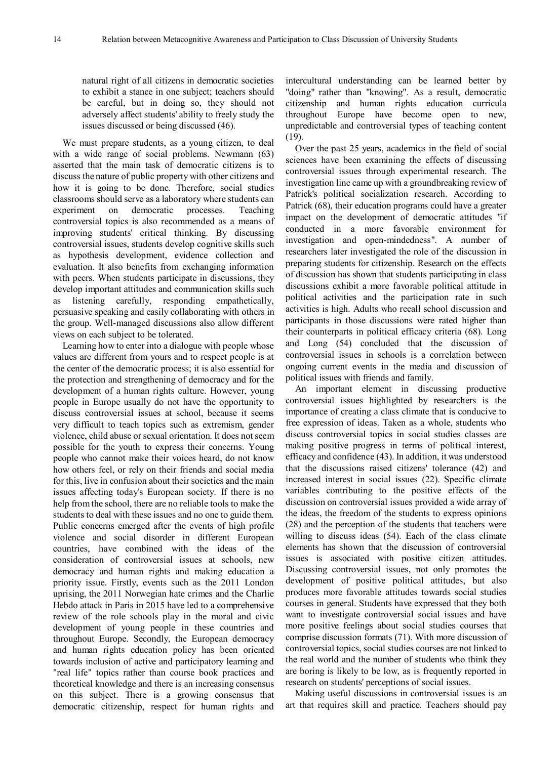natural right of all citizens in democratic societies to exhibit a stance in one subject; teachers should be careful, but in doing so, they should not adversely affect students' ability to freely study the issues discussed or being discussed (46).

We must prepare students, as a young citizen, to deal with a wide range of social problems. Newmann (63) asserted that the main task of democratic citizens is to discuss the nature of public property with other citizens and how it is going to be done. Therefore, social studies classrooms should serve as a laboratory where students can experiment on democratic processes. Teaching controversial topics is also recommended as a means of improving students' critical thinking. By discussing controversial issues, students develop cognitive skills such as hypothesis development, evidence collection and evaluation. It also benefits from exchanging information with peers. When students participate in discussions, they develop important attitudes and communication skills such as listening carefully, responding empathetically, persuasive speaking and easily collaborating with others in the group. Well-managed discussions also allow different views on each subject to be tolerated.

Learning how to enter into a dialogue with people whose values are different from yours and to respect people is at the center of the democratic process; it is also essential for the protection and strengthening of democracy and for the development of a human rights culture. However, young people in Europe usually do not have the opportunity to discuss controversial issues at school, because it seems very difficult to teach topics such as extremism, gender violence, child abuse or sexual orientation. It does not seem possible for the youth to express their concerns. Young people who cannot make their voices heard, do not know how others feel, or rely on their friends and social media for this, live in confusion about their societies and the main issues affecting today's European society. If there is no help from the school, there are no reliable tools to make the students to deal with these issues and no one to guide them. Public concerns emerged after the events of high profile violence and social disorder in different European countries, have combined with the ideas of the consideration of controversial issues at schools, new democracy and human rights and making education a priority issue. Firstly, events such as the 2011 London uprising, the 2011 Norwegian hate crimes and the Charlie Hebdo attack in Paris in 2015 have led to a comprehensive review of the role schools play in the moral and civic development of young people in these countries and throughout Europe. Secondly, the European democracy and human rights education policy has been oriented towards inclusion of active and participatory learning and "real life" topics rather than course book practices and theoretical knowledge and there is an increasing consensus on this subject. There is a growing consensus that democratic citizenship, respect for human rights and

intercultural understanding can be learned better by "doing" rather than "knowing". As a result, democratic citizenship and human rights education curricula throughout Europe have become open to new, unpredictable and controversial types of teaching content (19).

Over the past 25 years, academics in the field of social sciences have been examining the effects of discussing controversial issues through experimental research. The investigation line came up with a groundbreaking review of Patrick's political socialization research. According to Patrick (68), their education programs could have a greater impact on the development of democratic attitudes "if conducted in a more favorable environment for investigation and open-mindedness". A number of researchers later investigated the role of the discussion in preparing students for citizenship. Research on the effects of discussion has shown that students participating in class discussions exhibit a more favorable political attitude in political activities and the participation rate in such activities is high. Adults who recall school discussion and participants in those discussions were rated higher than their counterparts in political efficacy criteria (68). Long and Long (54) concluded that the discussion of controversial issues in schools is a correlation between ongoing current events in the media and discussion of political issues with friends and family.

An important element in discussing productive controversial issues highlighted by researchers is the importance of creating a class climate that is conducive to free expression of ideas. Taken as a whole, students who discuss controversial topics in social studies classes are making positive progress in terms of political interest, efficacy and confidence (43). In addition, it was understood that the discussions raised citizens' tolerance (42) and increased interest in social issues (22). Specific climate variables contributing to the positive effects of the discussion on controversial issues provided a wide array of the ideas, the freedom of the students to express opinions (28) and the perception of the students that teachers were willing to discuss ideas (54). Each of the class climate elements has shown that the discussion of controversial issues is associated with positive citizen attitudes. Discussing controversial issues, not only promotes the development of positive political attitudes, but also produces more favorable attitudes towards social studies courses in general. Students have expressed that they both want to investigate controversial social issues and have more positive feelings about social studies courses that comprise discussion formats (71). With more discussion of controversial topics, social studies courses are not linked to the real world and the number of students who think they are boring is likely to be low, as is frequently reported in research on students' perceptions of social issues.

Making useful discussions in controversial issues is an art that requires skill and practice. Teachers should pay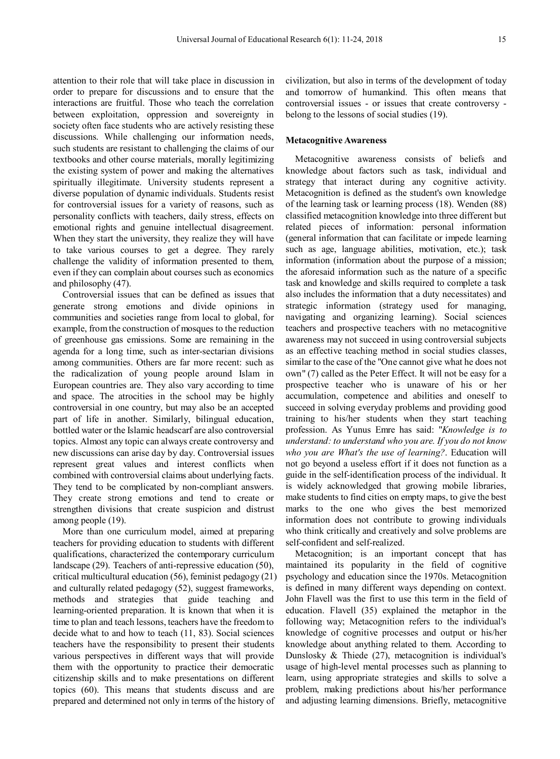attention to their role that will take place in discussion in order to prepare for discussions and to ensure that the interactions are fruitful. Those who teach the correlation between exploitation, oppression and sovereignty in society often face students who are actively resisting these discussions. While challenging our information needs, such students are resistant to challenging the claims of our textbooks and other course materials, morally legitimizing the existing system of power and making the alternatives spiritually illegitimate. University students represent a diverse population of dynamic individuals. Students resist for controversial issues for a variety of reasons, such as personality conflicts with teachers, daily stress, effects on emotional rights and genuine intellectual disagreement. When they start the university, they realize they will have to take various courses to get a degree. They rarely challenge the validity of information presented to them, even if they can complain about courses such as economics and philosophy (47).

Controversial issues that can be defined as issues that generate strong emotions and divide opinions in communities and societies range from local to global, for example, from the construction of mosques to the reduction of greenhouse gas emissions. Some are remaining in the agenda for a long time, such as inter-sectarian divisions among communities. Others are far more recent: such as the radicalization of young people around Islam in European countries are. They also vary according to time and space. The atrocities in the school may be highly controversial in one country, but may also be an accepted part of life in another. Similarly, bilingual education, bottled water or the Islamic headscarf are also controversial topics. Almost any topic can always create controversy and new discussions can arise day by day. Controversial issues represent great values and interest conflicts when combined with controversial claims about underlying facts. They tend to be complicated by non-compliant answers. They create strong emotions and tend to create or strengthen divisions that create suspicion and distrust among people (19).

More than one curriculum model, aimed at preparing teachers for providing education to students with different qualifications, characterized the contemporary curriculum landscape (29). Teachers of anti-repressive education (50), critical multicultural education (56), feminist pedagogy (21) and culturally related pedagogy (52), suggest frameworks, methods and strategies that guide teaching and learning-oriented preparation. It is known that when it is time to plan and teach lessons, teachers have the freedom to decide what to and how to teach (11, 83). Social sciences teachers have the responsibility to present their students various perspectives in different ways that will provide them with the opportunity to practice their democratic citizenship skills and to make presentations on different topics (60). This means that students discuss and are prepared and determined not only in terms of the history of

civilization, but also in terms of the development of today and tomorrow of humankind. This often means that controversial issues - or issues that create controversy belong to the lessons of social studies (19).

## **Metacognitive Awareness**

Metacognitive awareness consists of beliefs and knowledge about factors such as task, individual and strategy that interact during any cognitive activity. Metacognition is defined as the student's own knowledge of the learning task or learning process (18). Wenden (88) classified metacognition knowledge into three different but related pieces of information: personal information (general information that can facilitate or impede learning such as age, language abilities, motivation, etc.); task information (information about the purpose of a mission; the aforesaid information such as the nature of a specific task and knowledge and skills required to complete a task also includes the information that a duty necessitates) and strategic information (strategy used for managing, navigating and organizing learning). Social sciences teachers and prospective teachers with no metacognitive awareness may not succeed in using controversial subjects as an effective teaching method in social studies classes, similar to the case of the "One cannot give what he does not own" (7) called as the Peter Effect. It will not be easy for a prospective teacher who is unaware of his or her accumulation, competence and abilities and oneself to succeed in solving everyday problems and providing good training to his/her students when they start teaching profession. As Yunus Emre has said: "*Knowledge is to understand: to understand who you are. If you do not know who you are What's the use of learning?*. Education will not go beyond a useless effort if it does not function as a guide in the self-identification process of the individual. It is widely acknowledged that growing mobile libraries, make students to find cities on empty maps, to give the best marks to the one who gives the best memorized information does not contribute to growing individuals who think critically and creatively and solve problems are self-confident and self-realized.

Metacognition; is an important concept that has maintained its popularity in the field of cognitive psychology and education since the 1970s. Metacognition is defined in many different ways depending on context. John Flavell was the first to use this term in the field of education. Flavell (35) explained the metaphor in the following way; Metacognition refers to the individual's knowledge of cognitive processes and output or his/her knowledge about anything related to them. According to Dunslosky & Thiede (27), metacognition is individual's usage of high-level mental processes such as planning to learn, using appropriate strategies and skills to solve a problem, making predictions about his/her performance and adjusting learning dimensions. Briefly, metacognitive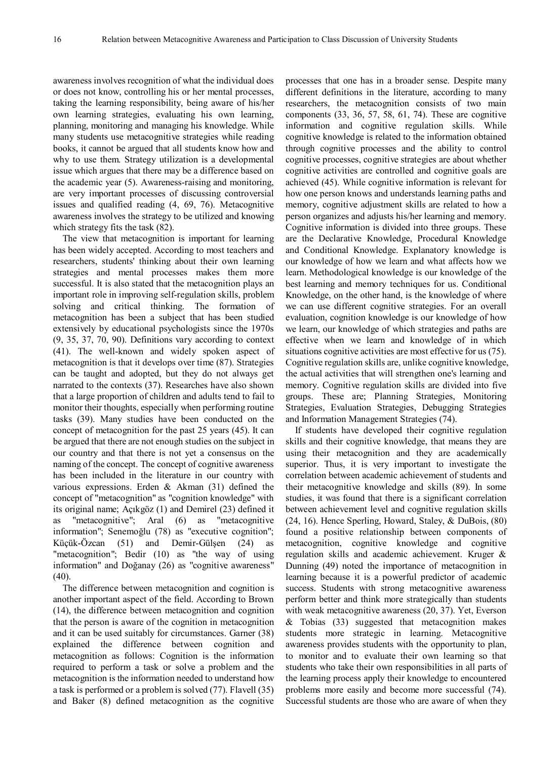awareness involves recognition of what the individual does or does not know, controlling his or her mental processes, taking the learning responsibility, being aware of his/her own learning strategies, evaluating his own learning, planning, monitoring and managing his knowledge. While many students use metacognitive strategies while reading books, it cannot be argued that all students know how and why to use them. Strategy utilization is a developmental issue which argues that there may be a difference based on the academic year (5). Awareness-raising and monitoring, are very important processes of discussing controversial issues and qualified reading (4, 69, 76). Metacognitive awareness involves the strategy to be utilized and knowing which strategy fits the task (82).

The view that metacognition is important for learning has been widely accepted. According to most teachers and researchers, students' thinking about their own learning strategies and mental processes makes them more successful. It is also stated that the metacognition plays an important role in improving self-regulation skills, problem solving and critical thinking. The formation of metacognition has been a subject that has been studied extensively by educational psychologists since the 1970s (9, 35, 37, 70, 90). Definitions vary according to context (41). The well-known and widely spoken aspect of metacognition is that it develops over time (87). Strategies can be taught and adopted, but they do not always get narrated to the contexts (37). Researches have also shown that a large proportion of children and adults tend to fail to monitor their thoughts, especially when performing routine tasks (39). Many studies have been conducted on the concept of metacognition for the past 25 years (45). It can be argued that there are not enough studies on the subject in our country and that there is not yet a consensus on the naming of the concept. The concept of cognitive awareness has been included in the literature in our country with various expressions. Erden & Akman (31) defined the concept of "metacognition" as "cognition knowledge" with its original name; Açıkgöz (1) and Demirel (23) defined it as "metacognitive"; Aral (6) as "metacognitive information"; Senemoğlu (78) as "executive cognition"; Küçük-Özcan (51) and Demir-Gülşen (24) as "metacognition"; Bedir (10) as "the way of using information" and Doğanay (26) as "cognitive awareness" (40).

The difference between metacognition and cognition is another important aspect of the field. According to Brown (14), the difference between metacognition and cognition that the person is aware of the cognition in metacognition and it can be used suitably for circumstances. Garner (38) explained the difference between cognition and metacognition as follows: Cognition is the information required to perform a task or solve a problem and the metacognition is the information needed to understand how a task is performed or a problem is solved (77). Flavell (35) and Baker (8) defined metacognition as the cognitive

processes that one has in a broader sense. Despite many different definitions in the literature, according to many researchers, the metacognition consists of two main components (33, 36, 57, 58, 61, 74). These are cognitive information and cognitive regulation skills. While cognitive knowledge is related to the information obtained through cognitive processes and the ability to control cognitive processes, cognitive strategies are about whether cognitive activities are controlled and cognitive goals are achieved (45). While cognitive information is relevant for how one person knows and understands learning paths and memory, cognitive adjustment skills are related to how a person organizes and adjusts his/her learning and memory. Cognitive information is divided into three groups. These are the Declarative Knowledge, Procedural Knowledge and Conditional Knowledge. Explanatory knowledge is our knowledge of how we learn and what affects how we learn. Methodological knowledge is our knowledge of the best learning and memory techniques for us. Conditional Knowledge, on the other hand, is the knowledge of where we can use different cognitive strategies. For an overall evaluation, cognition knowledge is our knowledge of how we learn, our knowledge of which strategies and paths are effective when we learn and knowledge of in which situations cognitive activities are most effective for us (75). Cognitive regulation skills are, unlike cognitive knowledge, the actual activities that will strengthen one's learning and memory. Cognitive regulation skills are divided into five groups. These are; Planning Strategies, Monitoring Strategies, Evaluation Strategies, Debugging Strategies and Information Management Strategies (74).

If students have developed their cognitive regulation skills and their cognitive knowledge, that means they are using their metacognition and they are academically superior. Thus, it is very important to investigate the correlation between academic achievement of students and their metacognitive knowledge and skills (89). In some studies, it was found that there is a significant correlation between achievement level and cognitive regulation skills (24, 16). Hence Sperling, Howard, Staley, & DuBois, (80) found a positive relationship between components of metacognition, cognitive knowledge and cognitive regulation skills and academic achievement. Kruger & Dunning (49) noted the importance of metacognition in learning because it is a powerful predictor of academic success. Students with strong metacognitive awareness perform better and think more strategically than students with weak metacognitive awareness (20, 37). Yet, Everson & Tobias (33) suggested that metacognition makes students more strategic in learning. Metacognitive awareness provides students with the opportunity to plan, to monitor and to evaluate their own learning so that students who take their own responsibilities in all parts of the learning process apply their knowledge to encountered problems more easily and become more successful (74). Successful students are those who are aware of when they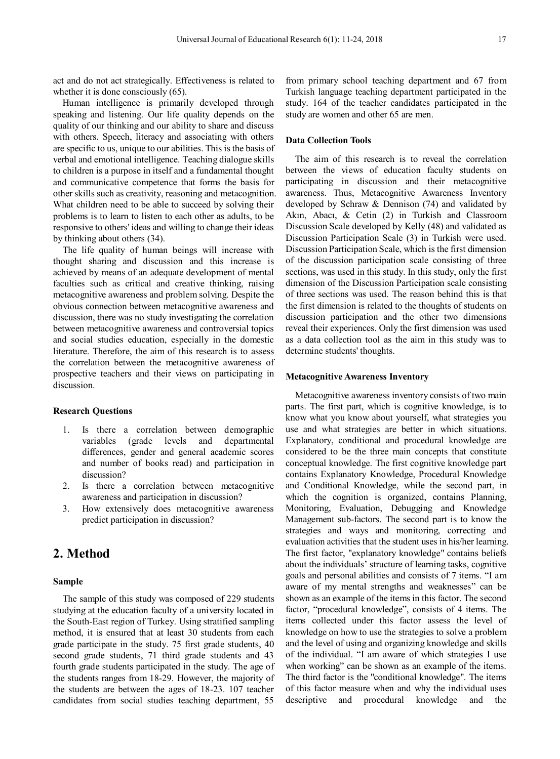act and do not act strategically. Effectiveness is related to whether it is done consciously  $(65)$ .

Human intelligence is primarily developed through speaking and listening. Our life quality depends on the quality of our thinking and our ability to share and discuss with others. Speech, literacy and associating with others are specific to us, unique to our abilities. This is the basis of verbal and emotional intelligence. Teaching dialogue skills to children is a purpose in itself and a fundamental thought and communicative competence that forms the basis for other skills such as creativity, reasoning and metacognition. What children need to be able to succeed by solving their problems is to learn to listen to each other as adults, to be responsive to others' ideas and willing to change their ideas by thinking about others (34).

The life quality of human beings will increase with thought sharing and discussion and this increase is achieved by means of an adequate development of mental faculties such as critical and creative thinking, raising metacognitive awareness and problem solving. Despite the obvious connection between metacognitive awareness and discussion, there was no study investigating the correlation between metacognitive awareness and controversial topics and social studies education, especially in the domestic literature. Therefore, the aim of this research is to assess the correlation between the metacognitive awareness of prospective teachers and their views on participating in discussion.

### **Research Questions**

- 1. Is there a correlation between demographic variables (grade levels and departmental differences, gender and general academic scores and number of books read) and participation in discussion?
- 2. Is there a correlation between metacognitive awareness and participation in discussion?
- 3. How extensively does metacognitive awareness predict participation in discussion?

# **2. Method**

#### **Sample**

The sample of this study was composed of 229 students studying at the education faculty of a university located in the South-East region of Turkey. Using stratified sampling method, it is ensured that at least 30 students from each grade participate in the study. 75 first grade students, 40 second grade students, 71 third grade students and 43 fourth grade students participated in the study. The age of the students ranges from 18-29. However, the majority of the students are between the ages of 18-23. 107 teacher candidates from social studies teaching department, 55

from primary school teaching department and 67 from Turkish language teaching department participated in the study. 164 of the teacher candidates participated in the study are women and other 65 are men.

#### **Data Collection Tools**

The aim of this research is to reveal the correlation between the views of education faculty students on participating in discussion and their metacognitive awareness. Thus, Metacognitive Awareness Inventory developed by Schraw & Dennison (74) and validated by Akın, Abacı, & Cetin (2) in Turkish and Classroom Discussion Scale developed by Kelly (48) and validated as Discussion Participation Scale (3) in Turkish were used. Discussion Participation Scale, which is the first dimension of the discussion participation scale consisting of three sections, was used in this study. In this study, only the first dimension of the Discussion Participation scale consisting of three sections was used. The reason behind this is that the first dimension is related to the thoughts of students on discussion participation and the other two dimensions reveal their experiences. Only the first dimension was used as a data collection tool as the aim in this study was to determine students' thoughts.

#### **Metacognitive Awareness Inventory**

Metacognitive awareness inventory consists of two main parts. The first part, which is cognitive knowledge, is to know what you know about yourself, what strategies you use and what strategies are better in which situations. Explanatory, conditional and procedural knowledge are considered to be the three main concepts that constitute conceptual knowledge. The first cognitive knowledge part contains Explanatory Knowledge, Procedural Knowledge and Conditional Knowledge, while the second part, in which the cognition is organized, contains Planning, Monitoring, Evaluation, Debugging and Knowledge Management sub-factors. The second part is to know the strategies and ways and monitoring, correcting and evaluation activities that the student uses in his/her learning. The first factor, "explanatory knowledge" contains beliefs about the individuals' structure of learning tasks, cognitive goals and personal abilities and consists of 7 items. "I am aware of my mental strengths and weaknesses" can be shown as an example of the items in this factor. The second factor, "procedural knowledge", consists of 4 items. The items collected under this factor assess the level of knowledge on how to use the strategies to solve a problem and the level of using and organizing knowledge and skills of the individual. "I am aware of which strategies I use when working" can be shown as an example of the items. The third factor is the "conditional knowledge". The items of this factor measure when and why the individual uses descriptive and procedural knowledge and the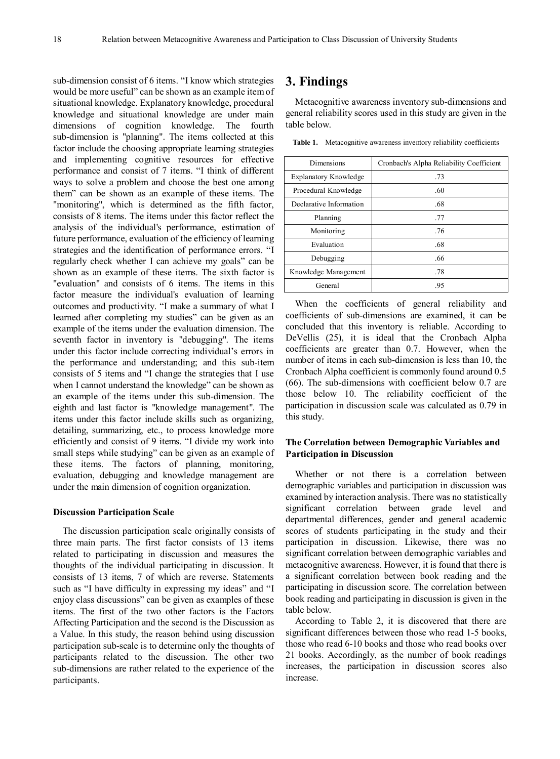sub-dimension consist of 6 items. "I know which strategies would be more useful" can be shown as an example item of situational knowledge. Explanatory knowledge, procedural knowledge and situational knowledge are under main dimensions of cognition knowledge. The fourth sub-dimension is "planning". The items collected at this factor include the choosing appropriate learning strategies and implementing cognitive resources for effective performance and consist of 7 items. "I think of different ways to solve a problem and choose the best one among them" can be shown as an example of these items. The "monitoring", which is determined as the fifth factor, consists of 8 items. The items under this factor reflect the analysis of the individual's performance, estimation of future performance, evaluation of the efficiency of learning strategies and the identification of performance errors. "I regularly check whether I can achieve my goals" can be shown as an example of these items. The sixth factor is "evaluation" and consists of 6 items. The items in this factor measure the individual's evaluation of learning outcomes and productivity. "I make a summary of what I learned after completing my studies" can be given as an example of the items under the evaluation dimension. The seventh factor in inventory is "debugging". The items under this factor include correcting individual's errors in the performance and understanding; and this sub-item consists of 5 items and "I change the strategies that I use when I cannot understand the knowledge" can be shown as an example of the items under this sub-dimension. The eighth and last factor is "knowledge management". The items under this factor include skills such as organizing, detailing, summarizing, etc., to process knowledge more efficiently and consist of 9 items. "I divide my work into small steps while studying" can be given as an example of these items. The factors of planning, monitoring, evaluation, debugging and knowledge management are under the main dimension of cognition organization.

#### **Discussion Participation Scale**

The discussion participation scale originally consists of three main parts. The first factor consists of 13 items related to participating in discussion and measures the thoughts of the individual participating in discussion. It consists of 13 items, 7 of which are reverse. Statements such as "I have difficulty in expressing my ideas" and "I enjoy class discussions" can be given as examples of these items. The first of the two other factors is the Factors Affecting Participation and the second is the Discussion as a Value. In this study, the reason behind using discussion participation sub-scale is to determine only the thoughts of participants related to the discussion. The other two sub-dimensions are rather related to the experience of the participants.

# **3. Findings**

Metacognitive awareness inventory sub-dimensions and general reliability scores used in this study are given in the table below.

| Dimensions                   | Cronbach's Alpha Reliability Coefficient |
|------------------------------|------------------------------------------|
| <b>Explanatory Knowledge</b> | .73                                      |
| Procedural Knowledge         | .60                                      |
| Declarative Information      | .68                                      |
| Planning                     | .77                                      |
| Monitoring                   | .76                                      |
| Evaluation                   | .68                                      |
| Debugging                    | .66                                      |
| Knowledge Management         | .78                                      |
| General                      | .95                                      |

Table 1. Metacognitive awareness inventory reliability coefficients

When the coefficients of general reliability and coefficients of sub-dimensions are examined, it can be concluded that this inventory is reliable. According to DeVellis (25), it is ideal that the Cronbach Alpha coefficients are greater than 0.7. However, when the number of items in each sub-dimension is less than 10, the Cronbach Alpha coefficient is commonly found around 0.5 (66). The sub-dimensions with coefficient below 0.7 are those below 10. The reliability coefficient of the participation in discussion scale was calculated as 0.79 in this study.

## **The Correlation between Demographic Variables and Participation in Discussion**

Whether or not there is a correlation between demographic variables and participation in discussion was examined by interaction analysis. There was no statistically significant correlation between grade level and departmental differences, gender and general academic scores of students participating in the study and their participation in discussion. Likewise, there was no significant correlation between demographic variables and metacognitive awareness. However, it is found that there is a significant correlation between book reading and the participating in discussion score. The correlation between book reading and participating in discussion is given in the table below.

According to Table 2, it is discovered that there are significant differences between those who read 1-5 books, those who read 6-10 books and those who read books over 21 books. Accordingly, as the number of book readings increases, the participation in discussion scores also increase.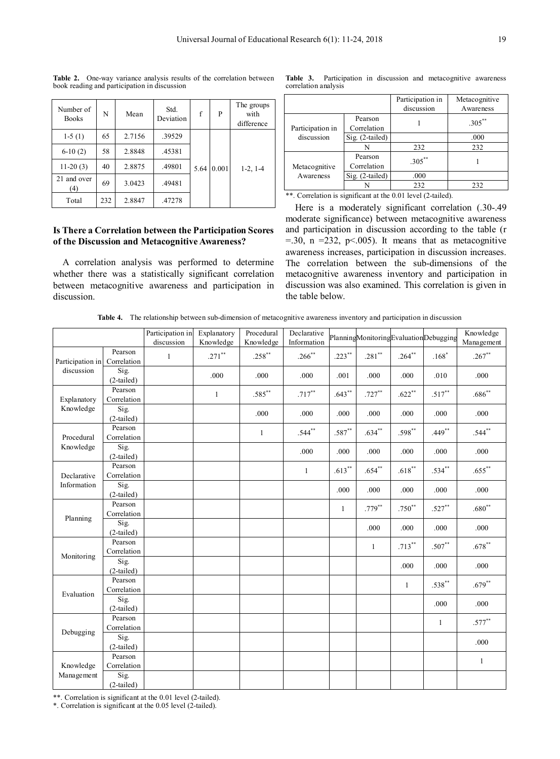| Number of<br><b>Books</b> | N   | Mean   | Std.<br>Deviation | f    | P     | The groups<br>with<br>difference |
|---------------------------|-----|--------|-------------------|------|-------|----------------------------------|
| $1-5(1)$                  | 65  | 2.7156 | .39529            |      |       |                                  |
| $6-10(2)$                 | 58  | 2.8848 | .45381            |      |       |                                  |
| $11-20(3)$                | 40  | 2.8875 | .49801            | 5.64 | 0.001 | $1-2, 1-4$                       |
| 21 and over<br>(4)        | 69  | 3.0423 | .49481            |      |       |                                  |
| Total                     | 232 | 2.8847 | .47278            |      |       |                                  |

**Table 2.** One-way variance analysis results of the correlation between book reading and participation in discussion

## **Is There a Correlation between the Participation Scores of the Discussion and Metacognitive Awareness?**

A correlation analysis was performed to determine whether there was a statistically significant correlation between metacognitive awareness and participation in discussion.

**Table 3.** Participation in discussion and metacognitive awareness correlation analysis

|                  |                        | Participation in<br>discussion | Metacognitive<br>Awareness |
|------------------|------------------------|--------------------------------|----------------------------|
| Participation in | Pearson<br>Correlation |                                | $.305***$                  |
| discussion       | $Sig.$ (2-tailed)      |                                | .000                       |
|                  | N                      | 232                            | 232                        |
| Metacognitive    | Pearson<br>Correlation | $305$ **                       |                            |
| Awareness        | Sig. (2-tailed)        | .000                           |                            |
|                  |                        | 232                            | 232                        |

\*\*. Correlation is significant at the 0.01 level (2-tailed).

Here is a moderately significant correlation (.30-.49 moderate significance) between metacognitive awareness and participation in discussion according to the table (r  $=$ .30, n  $=$ 232, p < 0.005). It means that as metacognitive awareness increases, participation in discussion increases. The correlation between the sub-dimensions of the metacognitive awareness inventory and participation in discussion was also examined. This correlation is given in the table below.

**Table 4.** The relationship between sub-dimension of metacognitive awareness inventory and participation in discussion

|                  |                        | Participation in<br>discussion | Explanatory<br>Knowledge | Procedural<br>Knowledge | Declarative<br>Information |              |              |              | PlanningMonitoringEvaluationDebugging | Knowledge<br>Management |
|------------------|------------------------|--------------------------------|--------------------------|-------------------------|----------------------------|--------------|--------------|--------------|---------------------------------------|-------------------------|
| Participation in | Pearson<br>Correlation | $\mathbf{1}$                   | $.271$ **                | $.258***$               | $.266$ **                  | $.223***$    | $.281**$     | $.264***$    | $.168*$                               | $.267**$                |
| discussion       | Sig.<br>$(2-tailed)$   |                                | .000                     | .000                    | .000                       | .001         | .000         | .000         | .010                                  | .000                    |
| Explanatory      | Pearson<br>Correlation |                                | $\mathbf{1}$             | $.585***$               | $.717***$                  | $.643***$    | $.727***$    | $.622**$     | $.517***$                             | $.686**$                |
| Knowledge        | Sig.<br>$(2-tailed)$   |                                |                          | .000                    | .000                       | .000         | .000         | .000         | .000                                  | .000                    |
| Procedural       | Pearson<br>Correlation |                                |                          | $\mathbf{1}$            | $.544***$                  | $.587**$     | $.634***$    | $.598***$    | $.449***$                             | $.544***$               |
| Knowledge        | Sig.<br>$(2-tailed)$   |                                |                          |                         | .000                       | .000         | .000         | .000         | .000                                  | .000                    |
| Declarative      | Pearson<br>Correlation |                                |                          |                         | 1                          | $.613***$    | $.654**$     | $.618***$    | $.534***$                             | $.655***$               |
| Information      | Sig.<br>$(2-tailed)$   |                                |                          |                         |                            | .000         | .000         | .000         | .000                                  | .000                    |
| Planning         | Pearson<br>Correlation |                                |                          |                         |                            | $\mathbf{1}$ | $.779***$    | $.750^{**}$  | $.527***$                             | $.680^{**}$             |
|                  | Sig.<br>$(2-tailed)$   |                                |                          |                         |                            |              | .000         | .000         | .000                                  | .000                    |
| Monitoring       | Pearson<br>Correlation |                                |                          |                         |                            |              | $\mathbf{1}$ | $.713***$    | $.507**$                              | $.678^{\ast\ast}$       |
|                  | Sig.<br>$(2-tailed)$   |                                |                          |                         |                            |              |              | .000         | .000                                  | .000                    |
| Evaluation       | Pearson<br>Correlation |                                |                          |                         |                            |              |              | $\mathbf{1}$ | $.538***$                             | $.679**$                |
|                  | Sig.<br>$(2-tailed)$   |                                |                          |                         |                            |              |              |              | .000                                  | .000                    |
| Debugging        | Pearson<br>Correlation |                                |                          |                         |                            |              |              |              | 1                                     | $.577***$               |
|                  | Sig.<br>$(2-tailed)$   |                                |                          |                         |                            |              |              |              |                                       | .000                    |
| Knowledge        | Pearson<br>Correlation |                                |                          |                         |                            |              |              |              |                                       | $\mathbf{1}$            |
| Management       | Sig.<br>$(2-tailed)$   |                                |                          |                         |                            |              |              |              |                                       |                         |

\*\*. Correlation is significant at the 0.01 level (2-tailed).

\*. Correlation is significant at the 0.05 level (2-tailed).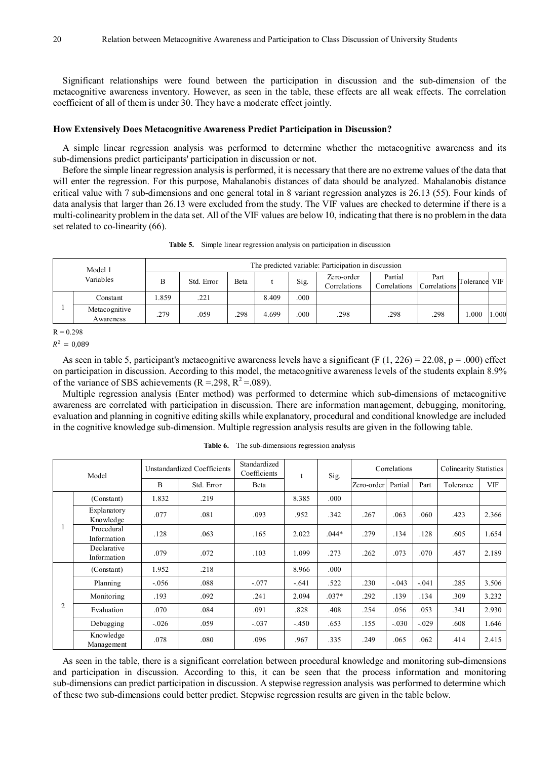Significant relationships were found between the participation in discussion and the sub-dimension of the metacognitive awareness inventory. However, as seen in the table, these effects are all weak effects. The correlation coefficient of all of them is under 30. They have a moderate effect jointly.

## **How Extensively Does Metacognitive Awareness Predict Participation in Discussion?**

A simple linear regression analysis was performed to determine whether the metacognitive awareness and its sub-dimensions predict participants' participation in discussion or not.

Before the simple linear regression analysis is performed, it is necessary that there are no extreme values of the data that will enter the regression. For this purpose, Mahalanobis distances of data should be analyzed. Mahalanobis distance critical value with 7 sub-dimensions and one general total in 8 variant regression analyzes is 26.13 (55). Four kinds of data analysis that larger than 26.13 were excluded from the study. The VIF values are checked to determine if there is a multi-colinearity problem in the data set. All of the VIF values are below 10, indicating that there is no problem in the data set related to co-linearity (66).

| Model 1<br>Variables |                            | The predicted variable: Participation in discussion |            |      |       |      |                            |                         |                      |           |            |  |  |
|----------------------|----------------------------|-----------------------------------------------------|------------|------|-------|------|----------------------------|-------------------------|----------------------|-----------|------------|--|--|
|                      |                            | B                                                   | Std. Error | Beta |       | Sig. | Zero-order<br>Correlations | Partial<br>Correlations | Part<br>Correlations | Tolerance | <b>VIF</b> |  |  |
|                      | Constant                   | .859                                                | .221       |      | 8.409 | .000 |                            |                         |                      |           |            |  |  |
|                      | Metacognitive<br>Awareness | .279                                                | .059       | 298  | 4.699 | .000 | .298                       | .298                    | .298                 | .000      | 1.000      |  |  |

**Table 5.** Simple linear regression analysis on participation in discussion

 $R = 0.298$ 

 $R^2 = 0.089$ 

As seen in table 5, participant's metacognitive awareness levels have a significant (F  $(1, 226) = 22.08$ , p = .000) effect on participation in discussion. According to this model, the metacognitive awareness levels of the students explain 8.9% of the variance of SBS achievements  $(R = 298, R^2 = 089)$ .

Multiple regression analysis (Enter method) was performed to determine which sub-dimensions of metacognitive awareness are correlated with participation in discussion. There are information management, debugging, monitoring, evaluation and planning in cognitive editing skills while explanatory, procedural and conditional knowledge are included in the cognitive knowledge sub-dimension. Multiple regression analysis results are given in the following table.

|                | Model                      |         | Unstandardized Coefficients | Standardized<br>Coefficients | $\mathbf{f}$ | Sig.    |            | Correlations |         | <b>Colinearity Statistics</b> |            |
|----------------|----------------------------|---------|-----------------------------|------------------------------|--------------|---------|------------|--------------|---------|-------------------------------|------------|
|                |                            | B       | Std. Error                  | Beta                         |              |         | Zero-order | Partial      | Part    | Tolerance                     | <b>VIF</b> |
|                | (Constant)                 | 1.832   | .219                        |                              | 8.385        | .000    |            |              |         |                               |            |
| $\overline{2}$ | Explanatory<br>Knowledge   | .077    | .081                        | .093                         | .952         | .342    | .267       | .063         | .060    | .423                          | 2.366      |
|                | Procedural<br>Information  | .128    | .063                        | .165                         | 2.022        | $.044*$ | .279       | .134         | .128    | .605                          | 1.654      |
|                | Declarative<br>Information | .079    | .072                        | .103                         | 1.099        | .273    | .262       | .073         | .070    | .457                          | 2.189      |
|                | (Constant)                 | 1.952   | .218                        |                              | 8.966        | .000    |            |              |         |                               |            |
|                | Planning                   | $-.056$ | .088                        | $-.077$                      | $-.641$      | .522    | .230       | $-.043$      | $-.041$ | .285                          | 3.506      |
|                | Monitoring                 | .193    | .092                        | .241                         | 2.094        | $.037*$ | .292       | .139         | .134    | .309                          | 3.232      |
|                | Evaluation                 | .070    | .084                        | .091                         | .828         | .408    | .254       | .056         | .053    | .341                          | 2.930      |
|                | Debugging                  | $-.026$ | .059                        | $-.037$                      | $-.450$      | .653    | .155       | $-.030$      | $-.029$ | .608                          | 1.646      |
|                | Knowledge<br>Management    | .078    | .080                        | .096                         | .967         | .335    | .249       | .065         | .062    | .414                          | 2.415      |

**Table 6.** The sub-dimensions regression analysis

As seen in the table, there is a significant correlation between procedural knowledge and monitoring sub-dimensions and participation in discussion. According to this, it can be seen that the process information and monitoring sub-dimensions can predict participation in discussion. A stepwise regression analysis was performed to determine which of these two sub-dimensions could better predict. Stepwise regression results are given in the table below.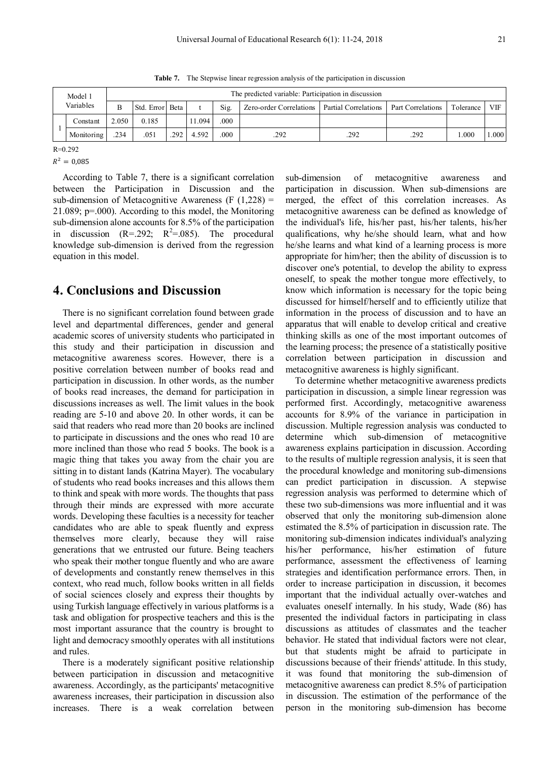**Table 7.** The Stepwise linear regression analysis of the participation in discussion

|           |  | Model 1    | The predicted variable: Participation in discussion |       |     |       |                         |                                          |     |           |            |       |  |  |  |
|-----------|--|------------|-----------------------------------------------------|-------|-----|-------|-------------------------|------------------------------------------|-----|-----------|------------|-------|--|--|--|
| Variables |  |            | Std. Error Beta                                     |       |     | Sig.  | Zero-order Correlations | Partial Correlations   Part Correlations |     | Tolerance | <b>VIF</b> |       |  |  |  |
|           |  | Constant   | 2.050                                               | 0.185 |     | 1.094 | .000                    |                                          |     |           |            |       |  |  |  |
|           |  | Monitoring | .234                                                | .051  | 292 | 4.592 | .000                    | 292                                      | 292 | .292      | .000       | 1.000 |  |  |  |

R=0.292

 $R^2 = 0.085$ 

According to Table 7, there is a significant correlation between the Participation in Discussion and the sub-dimension of Metacognitive Awareness  $(F (1,228))$ 21.089; p=.000). According to this model, the Monitoring sub-dimension alone accounts for 8.5% of the participation in discussion  $(R=292; R^2=0.085)$ . The procedural knowledge sub-dimension is derived from the regression equation in this model.

## **4. Conclusions and Discussion**

There is no significant correlation found between grade level and departmental differences, gender and general academic scores of university students who participated in this study and their participation in discussion and metacognitive awareness scores. However, there is a positive correlation between number of books read and participation in discussion. In other words, as the number of books read increases, the demand for participation in discussions increases as well. The limit values in the book reading are 5-10 and above 20. In other words, it can be said that readers who read more than 20 books are inclined to participate in discussions and the ones who read 10 are more inclined than those who read 5 books. The book is a magic thing that takes you away from the chair you are sitting in to distant lands (Katrina Mayer). The vocabulary of students who read books increases and this allows them to think and speak with more words. The thoughts that pass through their minds are expressed with more accurate words. Developing these faculties is a necessity for teacher candidates who are able to speak fluently and express themselves more clearly, because they will raise generations that we entrusted our future. Being teachers who speak their mother tongue fluently and who are aware of developments and constantly renew themselves in this context, who read much, follow books written in all fields of social sciences closely and express their thoughts by using Turkish language effectively in various platforms is a task and obligation for prospective teachers and this is the most important assurance that the country is brought to light and democracy smoothly operates with all institutions and rules.

There is a moderately significant positive relationship between participation in discussion and metacognitive awareness. Accordingly, as the participants' metacognitive awareness increases, their participation in discussion also increases. There is a weak correlation between sub-dimension of metacognitive awareness and participation in discussion. When sub-dimensions are merged, the effect of this correlation increases. As metacognitive awareness can be defined as knowledge of the individual's life, his/her past, his/her talents, his/her qualifications, why he/she should learn, what and how he/she learns and what kind of a learning process is more appropriate for him/her; then the ability of discussion is to discover one's potential, to develop the ability to express oneself, to speak the mother tongue more effectively, to know which information is necessary for the topic being discussed for himself/herself and to efficiently utilize that information in the process of discussion and to have an apparatus that will enable to develop critical and creative thinking skills as one of the most important outcomes of the learning process; the presence of a statistically positive correlation between participation in discussion and metacognitive awareness is highly significant.

To determine whether metacognitive awareness predicts participation in discussion, a simple linear regression was performed first. Accordingly, metacognitive awareness accounts for 8.9% of the variance in participation in discussion. Multiple regression analysis was conducted to determine which sub-dimension of metacognitive awareness explains participation in discussion. According to the results of multiple regression analysis, it is seen that the procedural knowledge and monitoring sub-dimensions can predict participation in discussion. A stepwise regression analysis was performed to determine which of these two sub-dimensions was more influential and it was observed that only the monitoring sub-dimension alone estimated the 8.5% of participation in discussion rate. The monitoring sub-dimension indicates individual's analyzing his/her performance, his/her estimation of future performance, assessment the effectiveness of learning strategies and identification performance errors. Then, in order to increase participation in discussion, it becomes important that the individual actually over-watches and evaluates oneself internally. In his study, Wade (86) has presented the individual factors in participating in class discussions as attitudes of classmates and the teacher behavior. He stated that individual factors were not clear, but that students might be afraid to participate in discussions because of their friends' attitude. In this study, it was found that monitoring the sub-dimension of metacognitive awareness can predict 8.5% of participation in discussion. The estimation of the performance of the person in the monitoring sub-dimension has become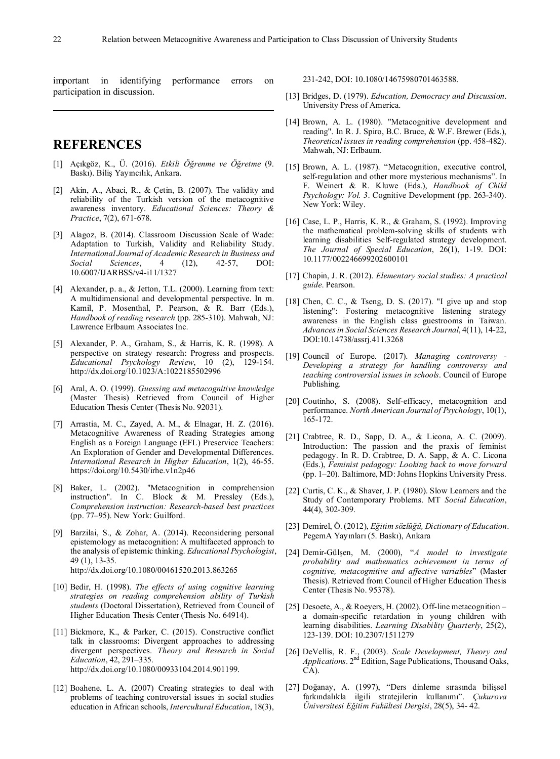important in identifying performance errors on participation in discussion.

# **REFERENCES**

- [1] Açıkgöz, K., Ü. (2016). *Etkili Öğrenme ve Öğretme* (9. Baskı). Biliş Yayıncılık, Ankara.
- [2] Akin, A., Abaci, R., & Cetin, B. (2007). The validity and reliability of the Turkish version of the metacognitive awareness inventory. *Educational Sciences: Theory & Practice*, 7(2), 671-678.
- [3] Alagoz, B. (2014). Classroom Discussion Scale of Wade: Adaptation to Turkish, Validity and Reliability Study. *International Journal of Academic Research in Business and Social Sciences*, 4 (12), 42-57, DOI: 10.6007/IJARBSS/v4-i11/1327
- [4] Alexander, p. a., & Jetton, T.L. (2000). Learning from text: A multidimensional and developmental perspective. In m. Kamil, P. Mosenthal, P. Pearson, & R. Barr (Eds.), *Handbook of reading research* (pp. 285-310). Mahwah, NJ: Lawrence Erlbaum Associates Inc.
- [5] Alexander, P. A., Graham, S., & Harris, K. R. (1998). A perspective on strategy research: Progress and prospects. *Educational Psychology Review*, 10 (2), 129-154. http://dx.doi.org/10.1023/A:1022185502996
- [6] Aral, A. O. (1999). *Guessing and metacognitive knowledge* (Master Thesis) Retrieved from Council of Higher Education Thesis Center (Thesis No. 92031).
- [7] Arrastia, M. C., Zayed, A. M., & Elnagar, H. Z. (2016). Metacognitive Awareness of Reading Strategies among English as a Foreign Language (EFL) Preservice Teachers: An Exploration of Gender and Developmental Differences. *International Research in Higher Education*, 1(2), 46-55. https://doi.org/10.5430/irhe.v1n2p46
- [8] Baker, L. (2002). "Metacognition in comprehension instruction". In C. Block & M. Pressley (Eds.), *Comprehension instruction: Research-based best practices* (pp. 77–95). New York: Guilford.
- [9] Barzilai, S., & Zohar, A. (2014). Reconsidering personal epistemology as metacognition: A multifaceted approach to the analysis of epistemic thinking. *Educational Psychologist*, 49 (1), 13-35. http://dx.doi.org/10.1080/00461520.2013.863265
- [10] Bedir, H. (1998). *The effects of using cognitive learning strategies on reading comprehension ability of Turkish students* (Doctoral Dissertation), Retrieved from Council of Higher Education Thesis Center (Thesis No. 64914).
- [11] Bickmore, K., & Parker, C. (2015). Constructive conflict talk in classrooms: Divergent approaches to addressing divergent perspectives. *Theory and Research in Social Education*, 42, 291–335. http://dx.doi.org/10.1080/00933104.2014.901199.
- [12] Boahene, L. A. (2007) Creating strategies to deal with problems of teaching controversial issues in social studies education in African schools, *Intercultural Education*, 18(3),

231-242, DOI: 10.1080/14675980701463588.

- [13] Bridges, D. (1979). *Education, Democracy and Discussion*. University Press of America.
- [14] Brown, A. L. (1980). "Metacognitive development and reading". In R. J. Spiro, B.C. Bruce, & W.F. Brewer (Eds.), *Theoretical issues in reading comprehension* (pp. 458-482). Mahwah, NJ: Erlbaum.
- [15] Brown, A. L. (1987). "Metacognition, executive control, self-regulation and other more mysterious mechanisms". In F. Weinert & R. Kluwe (Eds.), *Handbook of Child Psychology: Vol. 3*. Cognitive Development (pp. 263-340). New York: Wiley.
- [16] Case, L. P., Harris, K. R., & Graham, S. (1992). Improving the mathematical problem-solving skills of students with learning disabilities Self-regulated strategy development. *The Journal of Special Education*, 26(1), 1-19. DOI: 10.1177/002246699202600101
- [17] Chapin, J. R. (2012). *Elementary social studies: A practical guide*. Pearson.
- [18] Chen, C. C., & Tseng, D. S. (2017). "I give up and stop listening": Fostering metacognitive listening strategy awareness in the English class guestrooms in Taiwan. *Advances in Social Sciences Research Journal*, 4(11), 14-22, DOI:10.14738/assrj.411.3268
- [19] Council of Europe. (2017). *Managing controversy - Developing a strategy for handling controversy and teaching controversial issues in schools*. Council of Europe Publishing.
- [20] Coutinho, S. (2008). Self-efficacy, metacognition and performance. *North American Journal of Psychology*, 10(1), 165-172.
- [21] Crabtree, R. D., Sapp, D. A., & Licona, A. C. (2009). Introduction: The passion and the praxis of feminist pedagogy. In R. D. Crabtree, D. A. Sapp, & A. C. Licona (Eds.), *Feminist pedagogy: Looking back to move forward* (pp. 1–20). Baltimore, MD: Johns Hopkins University Press.
- [22] Curtis, C. K., & Shaver, J. P. (1980). Slow Learners and the Study of Contemporary Problems. MT *Social Education*, 44(4), 302-309.
- [23] Demirel, Ö. (2012), *Eğitim sözlüğü, Dictionary of Education*. PegemA Yayınları (5. Baskı), Ankara
- [24] Demir-Gülşen, M. (2000), "*A model to investigate probability and mathematics achievement in terms of cognitive, metacognitive and affective variables*" (Master Thesis). Retrieved from Council of Higher Education Thesis Center (Thesis No. 95378).
- [25] Desoete, A., & Roeyers, H. (2002). Off-line metacognition a domain-specific retardation in young children with learning disabilities. *Learning Disability Quarterly*, 25(2), 123-139. DOI: 10.2307/1511279
- [26] DeVellis, R. F., (2003). *Scale Development, Theory and Applications*. 2nd Edition, Sage Publications, Thousand Oaks, CA).
- [27] Doğanay, A. (1997), "Ders dinleme sırasında bilişsel farkındalıkla ilgili stratejilerin kullanımı". *Çukurova Üniversitesi Eğitim Fakültesi Dergisi*, 28(5), 34- 42.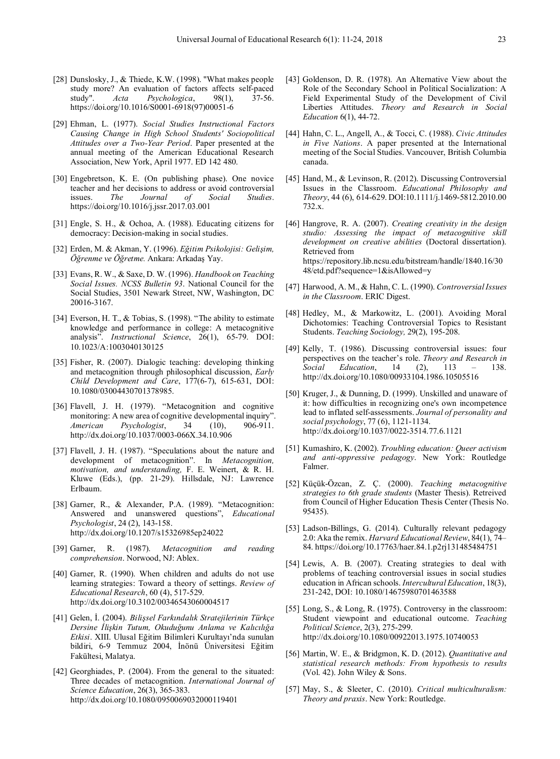- [28] Dunslosky, J., & Thiede, K.W. (1998). "What makes people study more? An evaluation of factors affects self-paced study". *Acta Psychologica*, 98(1), 37-56. https://doi.org/10.1016/S0001-6918(97)00051-6
- [29] Ehman, L. (1977). *Social Studies Instructional Factors Causing Change in High School Students' Sociopolitical Attitudes over a Two-Year Period*. Paper presented at the annual meeting of the American Educational Research Association, New York, April 1977. ED 142 480.
- [30] Engebretson, K. E. (On publishing phase). One novice teacher and her decisions to address or avoid controversial issues. *The Journal of Social Studies*. https://doi.org/10.1016/j.jssr.2017.03.001
- [31] Engle, S. H., & Ochoa, A. (1988). Educating citizens for democracy: Decision-making in social studies.
- [32] Erden, M. & Akman, Y. (1996). *Eğitim Psikolojisi: Gelişim, Öğrenme ve Öğretme.* Ankara: Arkadaş Yay.
- [33] Evans, R. W., & Saxe, D. W. (1996). *Handbook on Teaching Social Issues. NCSS Bulletin 93*. National Council for the Social Studies, 3501 Newark Street, NW, Washington, DC 20016-3167.
- [34] Everson, H. T., & Tobias, S. (1998). "The ability to estimate knowledge and performance in college: A metacognitive analysis". *Instructional Science*, 26(1), 65-79. DOI: 10.1023/A:1003040130125
- [35] Fisher, R. (2007). Dialogic teaching: developing thinking and metacognition through philosophical discussion, *Early Child Development and Care*, 177(6-7), 615-631, DOI: 10.1080/03004430701378985.
- [36] Flavell, J. H. (1979). "Metacognition and cognitive monitoring: A new area of cognitive developmental inquiry". *American Psychologist*, 34 (10), 906-911. http://dx.doi.org/10.1037/0003-066X.34.10.906
- [37] Flavell, J. H. (1987). "Speculations about the nature and development of metacognition". In *Metacognition, motivation, and understanding,* F. E. Weinert, & R. H. Kluwe (Eds.), (pp. 21-29). Hillsdale, NJ: Lawrence Erlbaum.
- [38] Garner, R., & Alexander, P.A. (1989). "Metacognition: Answered and unanswered questions", *Educational Psychologist*, 24 (2), 143-158. http://dx.doi.org/10.1207/s15326985ep24022
- [39] Garner, R. (1987). *Metacognition and reading comprehension*. Norwood, NJ: Ablex.
- [40] Garner, R. (1990). When children and adults do not use learning strategies: Toward a theory of settings. *Review of Educational Research*, 60 (4), 517-529. http://dx.doi.org/10.3102/00346543060004517
- [41] Gelen, İ. (2004). *Bilişsel Farkındalık Stratejilerinin Türkçe Dersine İlişkin Tutum, Okuduğunu Anlama ve Kalıcılığa Etkisi*. XIII. Ulusal Eğitim Bilimleri Kurultayı'nda sunulan bildiri, 6-9 Temmuz 2004, İnönü Üniversitesi Eğitim Fakültesi, Malatya.
- [42] Georghiades, P. (2004). From the general to the situated: Three decades of metacognition. *International Journal of Science Education*, 26(3), 365-383. http://dx.doi.org/10.1080/0950069032000119401
- [43] Goldenson, D. R. (1978). An Alternative View about the Role of the Secondary School in Political Socialization: A Field Experimental Study of the Development of Civil Liberties Attitudes. *Theory and Research in Social Education* 6(1), 44-72.
- [44] Hahn, C. L., Angell, A., & Tocci, C. (1988). *Civic Attitudes in Five Nations*. A paper presented at the International meeting of the Social Studies. Vancouver, British Columbia canada.
- [45] Hand, M., & Levinson, R. (2012). Discussing Controversial Issues in the Classroom. *Educational Philosophy and Theory*, 44 (6), 614-629. DOI:10.1111/j.1469-5812.2010.00 732.x.
- [46] Hangrove, R. A. (2007). *Creating creativity in the design studio: Assessing the impact of metacognitive skill development on creative abilities* (Doctoral dissertation). Retrieved from https://repository.lib.ncsu.edu/bitstream/handle/1840.16/30 48/etd.pdf?sequence=1&isAllowed=y
- [47] Harwood, A. M., & Hahn, C. L. (1990). *Controversial Issues in the Classroom*. ERIC Digest.
- [48] Hedley, M., & Markowitz, L. (2001). Avoiding Moral Dichotomies: Teaching Controversial Topics to Resistant Students. *Teaching Sociology,* 29(2), 195-208.
- [49] Kelly, T. (1986). Discussing controversial issues: four perspectives on the teacher's role. *Theory and Research in Social Education*, 14 (2), 113 – 138. http://dx.doi.org/10.1080/00933104.1986.10505516
- [50] Kruger, J., & Dunning, D. (1999). Unskilled and unaware of it: how difficulties in recognizing one's own incompetence lead to inflated self-assessments. *Journal of personality and social psychology*, 77 (6), 1121-1134. http://dx.doi.org/10.1037/0022-3514.77.6.1121
- [51] Kumashiro, K. (2002). *Troubling education: Queer activism and anti-oppressive pedagogy*. New York: Routledge Falmer.
- [52] Küçük-Özcan, Z. Ç. (2000). *Teaching metacognitive strategies to 6th grade students* (Master Thesis). Retreived from Council of Higher Education Thesis Center (Thesis No. 95435).
- [53] Ladson-Billings, G. (2014). Culturally relevant pedagogy 2.0: Aka the remix. *Harvard Educational Review*, 84(1), 74– 84. https://doi.org/10.17763/haer.84.1.p2rj131485484751
- [54] Lewis, A. B. (2007). Creating strategies to deal with problems of teaching controversial issues in social studies education in African schools. *Intercultural Education*, 18(3), 231-242, DOI: 10.1080/14675980701463588
- [55] Long, S., & Long, R. (1975). Controversy in the classroom: Student viewpoint and educational outcome. *Teaching Political Science*, 2(3), 275-299. http://dx.doi.org/10.1080/00922013.1975.10740053
- [56] Martin, W. E., & Bridgmon, K. D. (2012). *Quantitative and statistical research methods: From hypothesis to results* (Vol. 42). John Wiley & Sons.
- [57] May, S., & Sleeter, C. (2010). *Critical multiculturalism: Theory and praxis*. New York: Routledge.